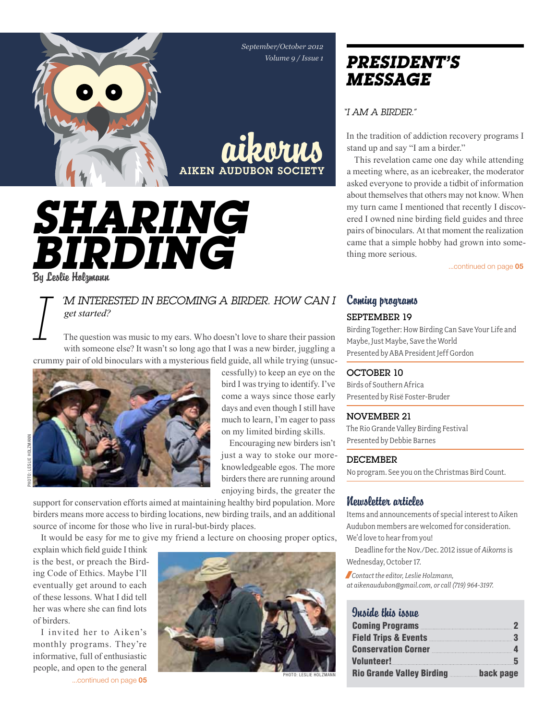*September/October 2012 Volume 9 / Issue 1*

aikorns

**AIKEN AUDUBON SOCIE** 

cessfully) to keep an eye on the bird I was trying to identify. I've come a ways since those early days and even though I still have much to learn, I'm eager to pass on my limited birding skills. Encouraging new birders isn't just a way to stoke our moreknowledgeable egos. The more birders there are running around enjoying birds, the greater the

*Sharing*  **BIRDING** 

By Leslie Holzmann

### *I 'm interested in becoming a birder. How can I get started?*

The question was music to my ears. Who doesn't love to share their passion with someone else? It wasn't so long ago that I was a new birder, juggling a crummy pair of old binoculars with a mysterious field guide, all while trying (unsuc-



support for conservation efforts aimed at maintaining healthy bird population. More birders means more access to birding locations, new birding trails, and an additional source of income for those who live in rural-but-birdy places.

It would be easy for me to give my friend a lecture on choosing proper optics,

explain which field guide I think is the best, or preach the Birding Code of Ethics. Maybe I'll eventually get around to each of these lessons. What I did tell her was where she can find lots of birders.

I invited her to Aiken's monthly programs. They're informative, full of enthusiastic people, and open to the general ...continued on page 05



Photo: Leslie Holzmann

### *president's message*

*"I am a birder."*

In the tradition of addiction recovery programs I stand up and say "I am a birder."

This revelation came one day while attending a meeting where, as an icebreaker, the moderator asked everyone to provide a tidbit of information about themselves that others may not know. When my turn came I mentioned that recently I discovered I owned nine birding field guides and three pairs of binoculars. At that moment the realization came that a simple hobby had grown into something more serious.

...continued on page 05

### Coming programs September 19

Birding Together: How Birding Can Save Your Life and Maybe, Just Maybe, Save the World Presented by ABA President Jeff Gordon

### OCTOBER 10

Birds of Southern Africa Presented by Risë Foster-Bruder

### November 21

The Rio Grande Valley Birding Festival Presented by Debbie Barnes

### **DECEMBER**

No program. See you on the Christmas Bird Count.

### Newsletter articles

Items and announcements of special interest to Aiken Audubon members are welcomed for consideration. We'd love to hear from you!

Deadline for the Nov./Dec. 2012 issue of *Aikorns* is Wednesday, October 17.

/*Contact the editor, Leslie Holzmann, at aikenaudubon@gmail.com, or call (719) 964-3197.*

### Quaido this issue

| <b>Coming Programs</b> 2                            |                |
|-----------------------------------------------------|----------------|
|                                                     |                |
| Conservation Corner <b>Executive Conservation</b> 4 |                |
|                                                     |                |
| <b>Rio Grande Valley Birding</b>                    | back page<br>. |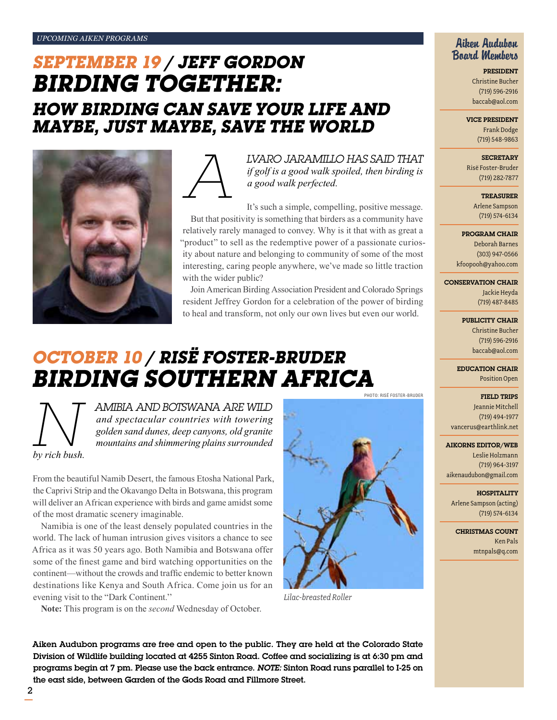## *September 19 / Jeff Gordon Birding Together: How Birding Can Save Your Life and Maybe, Just Maybe, Save the World*





*LVARO JARAMILLO HAS SAID THAT*<br>*if golf is a good walk spoiled, then birding is*<br>*a good walk perfected.*<br>It's such a simple, compelling, positive message. *if golf is a good walk spoiled, then birding is a good walk perfected.* 

It's such a simple, compelling, positive message. But that positivity is something that birders as a community have relatively rarely managed to convey. Why is it that with as great a "product" to sell as the redemptive power of a passionate curiosity about nature and belonging to community of some of the most interesting, caring people anywhere, we've made so little traction with the wider public?

Join American Birding Association President and Colorado Springs resident Jeffrey Gordon for a celebration of the power of birding to heal and transform, not only our own lives but even our world.

### *October 10 / RisË Foster-bruder Birding southern Africa*PHOTO: RISË FOSTER-BRUDER

*by rich bush.* 

**Notai** *and spectacular countries with towering*<br>*and spectacular countries with towering*<br>*golden sand dunes, deep canyons, old granite*<br>*by rich bush.* **and shimmering plains surrounded** *and spectacular countries with towering golden sand dunes, deep canyons, old granite mountains and shimmering plains surrounded* 

From the beautiful Namib Desert, the famous Etosha National Park, the Caprivi Strip and the Okavango Delta in Botswana, this program will deliver an African experience with birds and game amidst some of the most dramatic scenery imaginable.

Namibia is one of the least densely populated countries in the world. The lack of human intrusion gives visitors a chance to see Africa as it was 50 years ago. Both Namibia and Botswana offer some of the finest game and bird watching opportunities on the continent—without the crowds and traffic endemic to better known destinations like Kenya and South Africa. Come join us for an evening visit to the "Dark Continent.''

**Note:** This program is on the *second* Wednesday of October.



*Lilac-breasted Roller*

Aiken Audubon Board Members

> President Christine Bucher (719) 596-2916 baccab@aol.com

Vice President

Frank Dodge (719) 548-9863

**SECRETARY** 

Risë Foster-Bruder (719) 282-7877

> **TREASURER** Arlene Sampson

(719) 574-6134

Program Chair

Deborah Barnes (303) 947-0566 kfoopooh@yahoo.com

Conservation Chair Jackie Heyda (719) 487-8485

> PUBLICITY CHAIR Christine Bucher (719) 596-2916 baccab@aol.com

Education Chair Position Open

Field Trips

Jeannie Mitchell (719) 494-1977 vancerus@earthlink.net

Aikorns Editor/Web

Leslie Holzmann (719) 964-3197 aikenaudubon@gmail.com

**HOSPITALITY** Arlene Sampson (acting)

(719) 574-6134 Christmas Count

Ken Pals mtnpals@q.com

Aiken Audubon programs are free and open to the public. They are held at the Colorado State Division of Wildlife building located at 4255 Sinton Road. Coffee and socializing is at 6:30 pm and programs begin at 7 pm. Please use the back entrance. *Note:* Sinton Road runs parallel to I-25 on the east side, between Garden of the Gods Road and Fillmore Street.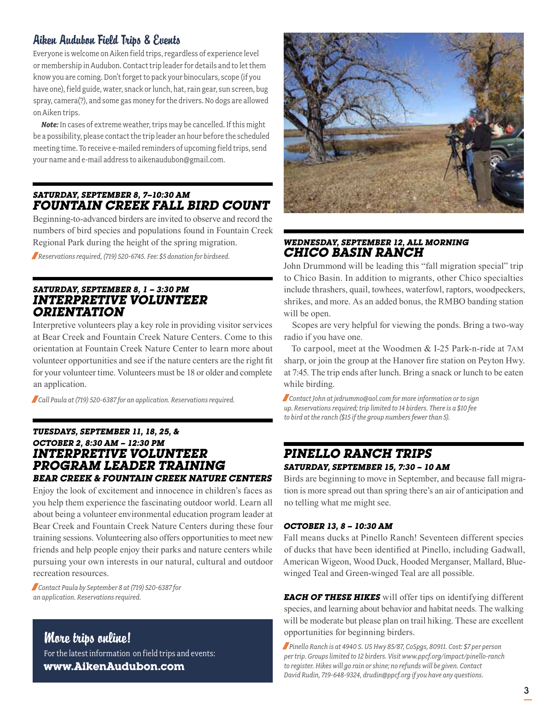### Aiken Audubon Field Trips & Events

Everyone is welcome on Aiken field trips, regardless of experience level or membership in Audubon. Contact trip leader for details and to let them know you are coming. Don't forget to pack your binoculars, scope (if you have one), field guide, water, snack or lunch, hat, rain gear, sun screen, bug spray, camera(?), and some gas money for the drivers. No dogs are allowed on Aiken trips.

*Note:* In cases of extreme weather, trips may be cancelled. If this might be a possibility, please contact the trip leader an hour before the scheduled meeting time. To receive e-mailed reminders of upcoming field trips, send your name and e-mail address to aikenaudubon@gmail.com.

### *Saturday, september 8, 7–10:30 am Fountain Creek Fall Bird Count*

Beginning-to-advanced birders are invited to observe and record the numbers of bird species and populations found in Fountain Creek Regional Park during the height of the spring migration.

/*Reservations required, (719) 520-6745. Fee: \$5 donation for birdseed.*

### *Saturday, September 8, 1 – 3:30 pm interpretive volunteer orientation*

Interpretive volunteers play a key role in providing visitor services at Bear Creek and Fountain Creek Nature Centers. Come to this orientation at Fountain Creek Nature Center to learn more about volunteer opportunities and see if the nature centers are the right fit for your volunteer time. Volunteers must be 18 or older and complete an application.

/*Call Paula at (719) 520-6387 for an application. Reservations required.*

### *Tuesdays, September 11, 18, 25, & October 2, 8:30 am – 12:30 pm interpretive volunteer program leader training Bear Creek & Fountain Creek Nature Centers*

Enjoy the look of excitement and innocence in children's faces as you help them experience the fascinating outdoor world. Learn all about being a volunteer environmental education program leader at Bear Creek and Fountain Creek Nature Centers during these four training sessions. Volunteering also offers opportunities to meet new friends and help people enjoy their parks and nature centers while pursuing your own interests in our natural, cultural and outdoor recreation resources.

/*Contact Paula by September 8 at (719) 520-6387 for an application. Reservations required.*

### More trips online!

For the latest information on field trips and events: **www.AikenAudubon.com**



### *Wednesday, September 12, all morning chico basin ranch*

John Drummond will be leading this "fall migration special" trip to Chico Basin. In addition to migrants, other Chico specialties include thrashers, quail, towhees, waterfowl, raptors, woodpeckers, shrikes, and more. As an added bonus, the RMBO banding station will be open.

Scopes are very helpful for viewing the ponds. Bring a two-way radio if you have one.

To carpool, meet at the Woodmen & I-25 Park-n-ride at 7am sharp, or join the group at the Hanover fire station on Peyton Hwy. at 7:45. The trip ends after lunch. Bring a snack or lunch to be eaten while birding.

/*Contact John at jxdrummo@aol.com for more information or to sign up. Reservations required; trip limited to 14 birders. There is a \$10 fee to bird at the ranch (\$15 if the group numbers fewer than 5).*

### *pinello Ranch trips Saturday, September 15, 7:30 – 10 am*

Birds are beginning to move in September, and because fall migration is more spread out than spring there's an air of anticipation and no telling what me might see.

### *October 13, 8 – 10:30 am*

Fall means ducks at Pinello Ranch! Seventeen different species of ducks that have been identified at Pinello, including Gadwall, American Wigeon, Wood Duck, Hooded Merganser, Mallard, Bluewinged Teal and Green-winged Teal are all possible.

*each of these hikes* will offer tips on identifying different species, and learning about behavior and habitat needs. The walking will be moderate but please plan on trail hiking. These are excellent opportunities for beginning birders.

/*Pinello Ranch is at 4940 S. US Hwy 85/87, CoSpgs, 80911. Cost: \$7 per person per trip. Groups limited to 12 birders. Visit www.ppcf.org/impact/pinello-ranch to register. Hikes will go rain or shine; no refunds will be given. Contact David Rudin, 719-648-9324, drudin@ppcf.org if you have any questions.*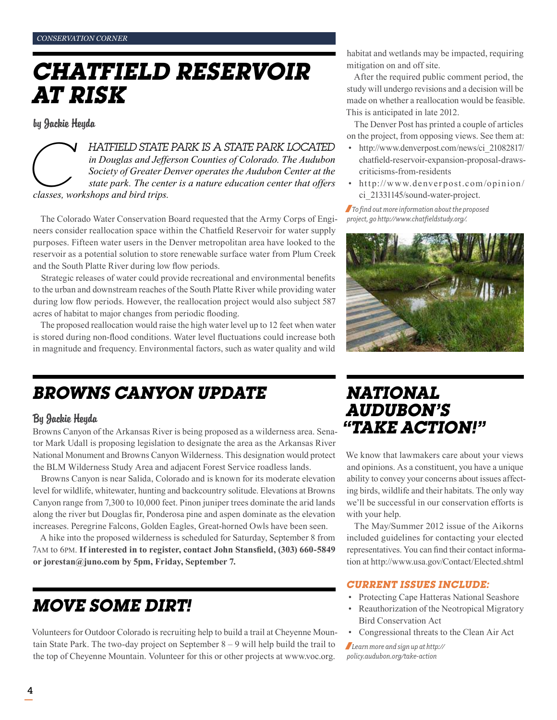## *Chatfield Reservoir at Risk*

by Jackie Heyda

*classes, workshops and bird trips. COCATED*<br>*COCATED in Douglas and Jefferson Counties of Colorado. The Audubon*<br>*Society of Greater Denver operates the Audubon Center at the*<br>*state park. The center is a nature education center that offers*<br>*classes, wo in Douglas and Jefferson Counties of Colorado. The Audubon Society of Greater Denver operates the Audubon Center at the state park. The center is a nature education center that offers* 

The Colorado Water Conservation Board requested that the Army Corps of Engineers consider reallocation space within the Chatfield Reservoir for water supply purposes. Fifteen water users in the Denver metropolitan area have looked to the reservoir as a potential solution to store renewable surface water from Plum Creek and the South Platte River during low flow periods.

Strategic releases of water could provide recreational and environmental benefits to the urban and downstream reaches of the South Platte River while providing water during low flow periods. However, the reallocation project would also subject 587 acres of habitat to major changes from periodic flooding.

The proposed reallocation would raise the high water level up to 12 feet when water is stored during non-flood conditions. Water level fluctuations could increase both in magnitude and frequency. Environmental factors, such as water quality and wild

## *Browns Canyon update*

### By Jackie Heyda

Browns Canyon of the Arkansas River is being proposed as a wilderness area. Senator Mark Udall is proposing legislation to designate the area as the Arkansas River National Monument and Browns Canyon Wilderness. This designation would protect the BLM Wilderness Study Area and adjacent Forest Service roadless lands.

Browns Canyon is near Salida, Colorado and is known for its moderate elevation level for wildlife, whitewater, hunting and backcountry solitude. Elevations at Browns Canyon range from 7,300 to 10,000 feet. Pinon juniper trees dominate the arid lands along the river but Douglas fir, Ponderosa pine and aspen dominate as the elevation increases. Peregrine Falcons, Golden Eagles, Great-horned Owls have been seen.

A hike into the proposed wilderness is scheduled for Saturday, September 8 from 7am to 6pm. **If interested in to register, contact John Stansfield, (303) 660-5849 or jorestan@juno.com by 5pm, Friday, September 7.** 

## *move some dirt!*

Volunteers for Outdoor Colorado is recruiting help to build a trail at Cheyenne Mountain State Park. The two-day project on September 8 – 9 will help build the trail to the top of Cheyenne Mountain. Volunteer for this or other projects at www.voc.org.

habitat and wetlands may be impacted, requiring mitigation on and off site.

After the required public comment period, the study will undergo revisions and a decision will be made on whether a reallocation would be feasible. This is anticipated in late 2012.

The Denver Post has printed a couple of articles on the project, from opposing views. See them at:

- http://www.denverpost.com/news/ci\_21082817/ chatfield-reservoir-expansion-proposal-drawscriticisms-from-residents
- http://www.denverpost.com/opinion/ ci\_21331145/sound-water-project.

/*To find out more information about the proposed project, go http://www.chatfieldstudy.org/.*



### *National Audubon's "Take Action!"*

We know that lawmakers care about your views and opinions. As a constituent, you have a unique ability to convey your concerns about issues affecting birds, wildlife and their habitats. The only way we'll be successful in our conservation efforts is with your help.

The May/Summer 2012 issue of the Aikorns included guidelines for contacting your elected representatives. You can find their contact information at http://www.usa.gov/Contact/Elected.shtml

### *Current issues include:*

- Protecting Cape Hatteras National Seashore
- Reauthorization of the Neotropical Migratory Bird Conservation Act
- Congressional threats to the Clean Air Act

/*Learn more and sign up at http:// policy.audubon.org/take-action*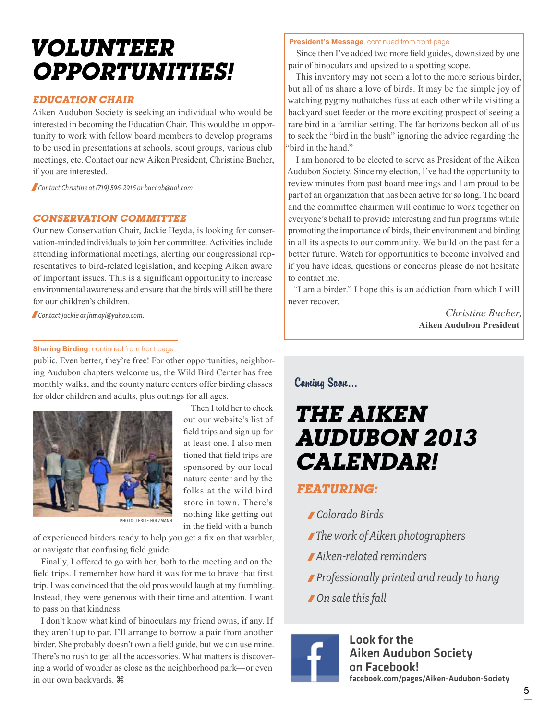## *Volunteer Opportunities!*

### *Education Chair*

Aiken Audubon Society is seeking an individual who would be interested in becoming the Education Chair. This would be an opportunity to work with fellow board members to develop programs to be used in presentations at schools, scout groups, various club meetings, etc. Contact our new Aiken President, Christine Bucher, if you are interested.

/*Contact Christine at (719) 596-2916 or baccab@aol.com*

### *Conservation Committee*

Our new Conservation Chair, Jackie Heyda, is looking for conservation-minded individuals to join her committee. Activities include attending informational meetings, alerting our congressional representatives to bird-related legislation, and keeping Aiken aware of important issues. This is a significant opportunity to increase environmental awareness and ensure that the birds will still be there for our children's children.

/*Contact Jackie at jhmayl@yahoo.com.*

#### **Sharing Birding**, continued from front page

public. Even better, they're free! For other opportunities, neighboring Audubon chapters welcome us, the Wild Bird Center has free monthly walks, and the county nature centers offer birding classes for older children and adults, plus outings for all ages.



Then I told her to check out our website's list of field trips and sign up for at least one. I also mentioned that field trips are sponsored by our local nature center and by the folks at the wild bird store in town. There's nothing like getting out in the field with a bunch

Photo: Leslie Holzmann

of experienced birders ready to help you get a fix on that warbler, or navigate that confusing field guide.

Finally, I offered to go with her, both to the meeting and on the field trips. I remember how hard it was for me to brave that first trip. I was convinced that the old pros would laugh at my fumbling. Instead, they were generous with their time and attention. I want to pass on that kindness.

I don't know what kind of binoculars my friend owns, if any. If they aren't up to par, I'll arrange to borrow a pair from another birder. She probably doesn't own a field guide, but we can use mine. There's no rush to get all the accessories. What matters is discovering a world of wonder as close as the neighborhood park—or even in our own backyards.

#### President's Message, continued from front page

Since then I've added two more field guides, downsized by one pair of binoculars and upsized to a spotting scope.

This inventory may not seem a lot to the more serious birder, but all of us share a love of birds. It may be the simple joy of watching pygmy nuthatches fuss at each other while visiting a backyard suet feeder or the more exciting prospect of seeing a rare bird in a familiar setting. The far horizons beckon all of us to seek the "bird in the bush" ignoring the advice regarding the "bird in the hand."

I am honored to be elected to serve as President of the Aiken Audubon Society. Since my election, I've had the opportunity to review minutes from past board meetings and I am proud to be part of an organization that has been active for so long. The board and the committee chairmen will continue to work together on everyone's behalf to provide interesting and fun programs while promoting the importance of birds, their environment and birding in all its aspects to our community. We build on the past for a better future. Watch for opportunities to become involved and if you have ideas, questions or concerns please do not hesitate to contact me.

"I am a birder." I hope this is an addiction from which I will never recover.

> *Christine Bucher,* **Aiken Audubon President**

Coming Soon…

## *The Aiken Audubon 2013 Calendar!*

### *Featuring:*

- / *Colorado Birds*
- /*The work of Aiken photographers*
- / *Aiken-related reminders*
- / *Professionally printed and ready to hang*
- / *On sale this fall*



Look for the Aiken Audubon Society on Facebook! facebook.com/pages/Aiken-Audubon-Society